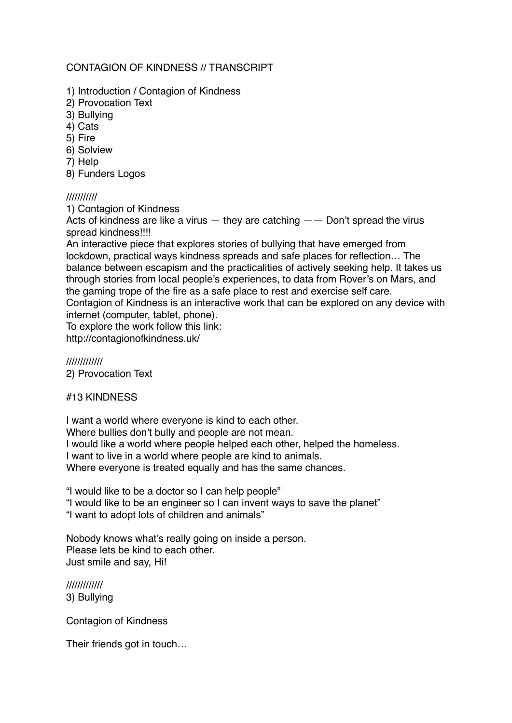## CONTAGION OF KINDNESS // TRANSCRIPT

- 1) Introduction / Contagion of Kindness
- 2) Provocation Text
- 3) Bullying
- 4) Cats
- 5) Fire
- 6) Solview
- 7) Help
- 8) Funders Logos

### ///////////

1) Contagion of Kindness

Acts of kindness are like a virus  $-$  they are catching  $-$  Don't spread the virus spread kindness!!!!

An interactive piece that explores stories of bullying that have emerged from lockdown, practical ways kindness spreads and safe places for reflection… The balance between escapism and the practicalities of actively seeking help. It takes us through stories from local people's experiences, to data from Rover's on Mars, and the gaming trope of the fire as a safe place to rest and exercise self care. Contagion of Kindness is an interactive work that can be explored on any device with

internet (computer, tablet, phone). To explore the work follow this link:

http://contagionofkindness.uk/

///////////// 2) Provocation Text

#13 KINDNESS

I want a world where everyone is kind to each other. Where bullies don't bully and people are not mean. I would like a world where people helped each other, helped the homeless. I want to live in a world where people are kind to animals. Where everyone is treated equally and has the same chances.

"I would like to be a doctor so I can help people"

"I would like to be an engineer so I can invent ways to save the planet"

"I want to adopt lots of children and animals"

Nobody knows what's really going on inside a person. Please lets be kind to each other. Just smile and say, Hi!

///////////// 3) Bullying

Contagion of Kindness

Their friends got in touch…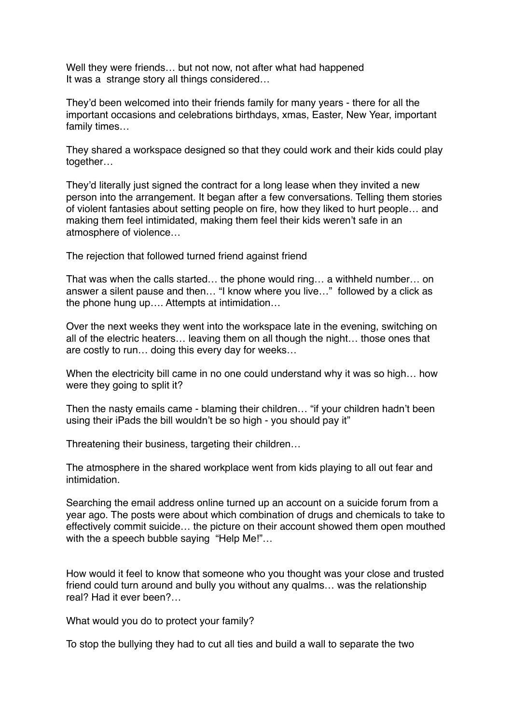Well they were friends… but not now, not after what had happened It was a strange story all things considered…

They'd been welcomed into their friends family for many years - there for all the important occasions and celebrations birthdays, xmas, Easter, New Year, important family times…

They shared a workspace designed so that they could work and their kids could play together…

They'd literally just signed the contract for a long lease when they invited a new person into the arrangement. It began after a few conversations. Telling them stories of violent fantasies about setting people on fire, how they liked to hurt people… and making them feel intimidated, making them feel their kids weren't safe in an atmosphere of violence…

The rejection that followed turned friend against friend

That was when the calls started… the phone would ring… a withheld number… on answer a silent pause and then… "I know where you live…" followed by a click as the phone hung up…. Attempts at intimidation…

Over the next weeks they went into the workspace late in the evening, switching on all of the electric heaters… leaving them on all though the night… those ones that are costly to run… doing this every day for weeks…

When the electricity bill came in no one could understand why it was so high... how were they going to split it?

Then the nasty emails came - blaming their children… "if your children hadn't been using their iPads the bill wouldn't be so high - you should pay it"

Threatening their business, targeting their children…

The atmosphere in the shared workplace went from kids playing to all out fear and intimidation.

Searching the email address online turned up an account on a suicide forum from a year ago. The posts were about which combination of drugs and chemicals to take to effectively commit suicide… the picture on their account showed them open mouthed with the a speech bubble saying "Help Me!"...

How would it feel to know that someone who you thought was your close and trusted friend could turn around and bully you without any qualms… was the relationship real? Had it ever been?…

What would you do to protect your family?

To stop the bullying they had to cut all ties and build a wall to separate the two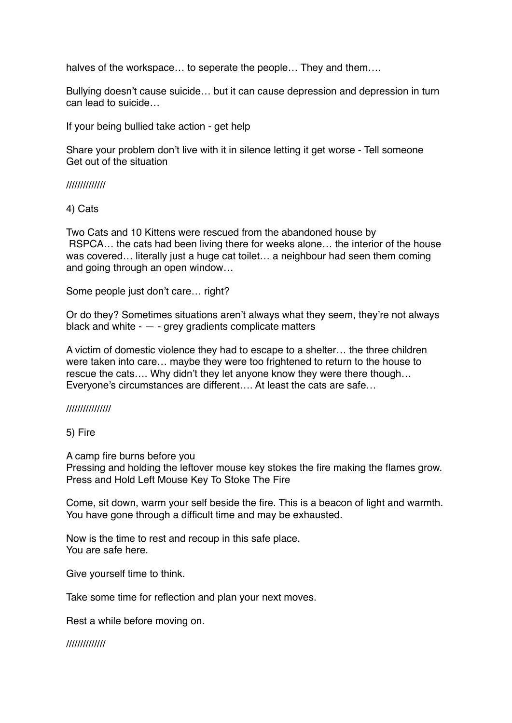halves of the workspace... to seperate the people... They and them....

Bullying doesn't cause suicide… but it can cause depression and depression in turn can lead to suicide…

If your being bullied take action - get help

Share your problem don't live with it in silence letting it get worse - Tell someone Get out of the situation

#### //////////////

4) Cats

Two Cats and 10 Kittens were rescued from the abandoned house by RSPCA… the cats had been living there for weeks alone… the interior of the house was covered… literally just a huge cat toilet… a neighbour had seen them coming and going through an open window…

Some people just don't care… right?

Or do they? Sometimes situations aren't always what they seem, they're not always black and white  $-$  - grey gradients complicate matters

A victim of domestic violence they had to escape to a shelter… the three children were taken into care… maybe they were too frightened to return to the house to rescue the cats…. Why didn't they let anyone know they were there though… Everyone's circumstances are different…. At least the cats are safe…

#### ////////////////

5) Fire

A camp fire burns before you

Pressing and holding the leftover mouse key stokes the fire making the flames grow. Press and Hold Left Mouse Key To Stoke The Fire

Come, sit down, warm your self beside the fire. This is a beacon of light and warmth. You have gone through a difficult time and may be exhausted.

Now is the time to rest and recoup in this safe place. You are safe here.

Give yourself time to think.

Take some time for reflection and plan your next moves.

Rest a while before moving on.

//////////////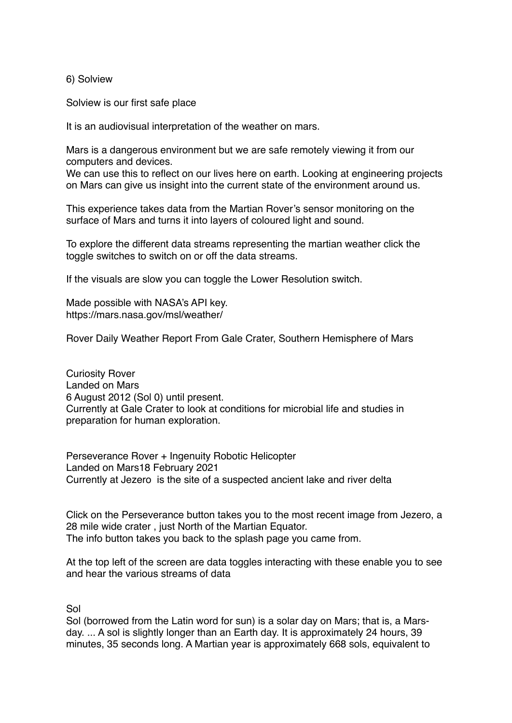6) Solview

Solview is our first safe place

It is an audiovisual interpretation of the weather on mars.

Mars is a dangerous environment but we are safe remotely viewing it from our computers and devices.

We can use this to reflect on our lives here on earth. Looking at engineering projects on Mars can give us insight into the current state of the environment around us.

This experience takes data from the Martian Rover's sensor monitoring on the surface of Mars and turns it into layers of coloured light and sound.

To explore the different data streams representing the martian weather click the toggle switches to switch on or off the data streams.

If the visuals are slow you can toggle the Lower Resolution switch.

Made possible with NASA's API key. https://mars.nasa.gov/msl/weather/

Rover Daily Weather Report From Gale Crater, Southern Hemisphere of Mars

Curiosity Rover Landed on Mars 6 August 2012 (Sol 0) until present. Currently at Gale Crater to look at conditions for microbial life and studies in preparation for human exploration.

Perseverance Rover + Ingenuity Robotic Helicopter Landed on Mars18 February 2021 Currently at Jezero is the site of a suspected ancient lake and river delta

Click on the Perseverance button takes you to the most recent image from Jezero, a 28 mile wide crater , just North of the Martian Equator. The info button takes you back to the splash page you came from.

At the top left of the screen are data toggles interacting with these enable you to see and hear the various streams of data

Sol

Sol (borrowed from the Latin word for sun) is a solar day on Mars; that is, a Marsday. ... A sol is slightly longer than an Earth day. It is approximately 24 hours, 39 minutes, 35 seconds long. A Martian year is approximately 668 sols, equivalent to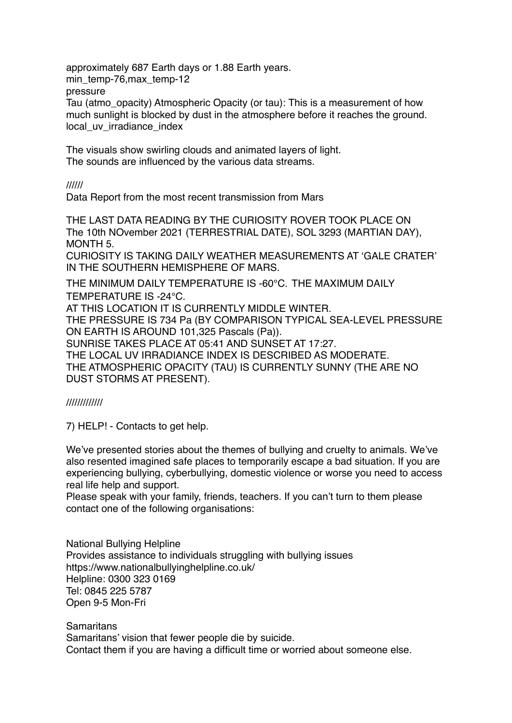approximately 687 Earth days or 1.88 Earth years. min\_temp-76,max\_temp-12 pressure Tau (atmo\_opacity) Atmospheric Opacity (or tau): This is a measurement of how much sunlight is blocked by dust in the atmosphere before it reaches the ground. local\_uv\_irradiance\_index

The visuals show swirling clouds and animated layers of light. The sounds are influenced by the various data streams.

//////

Data Report from the most recent transmission from Mars

THE LAST DATA READING BY THE CURIOSITY ROVER TOOK PLACE ON The 10th NOvember 2021 (TERRESTRIAL DATE), SOL 3293 (MARTIAN DAY), MONTH 5. CURIOSITY IS TAKING DAILY WEATHER MEASUREMENTS AT 'GALE CRATER' IN THE SOUTHERN HEMISPHERE OF MARS. THE MINIMUM DAILY TEMPERATURE IS -60°C. THE MAXIMUM DAILY

TEMPERATURE IS -24°C. AT THIS LOCATION IT IS CURRENTLY MIDDLE WINTER. THE PRESSURE IS 734 Pa (BY COMPARISON TYPICAL SEA-LEVEL PRESSURE ON EARTH IS AROUND 101,325 Pascals (Pa)). SUNRISE TAKES PLACE AT 05:41 AND SUNSET AT 17:27. THE LOCAL UV IRRADIANCE INDEX IS DESCRIBED AS MODERATE. THE ATMOSPHERIC OPACITY (TAU) IS CURRENTLY SUNNY (THE ARE NO DUST STORMS AT PRESENT).

# /////////////

7) HELP! - Contacts to get help.

We've presented stories about the themes of bullying and cruelty to animals. We've also resented imagined safe places to temporarily escape a bad situation. If you are experiencing bullying, cyberbullying, domestic violence or worse you need to access real life help and support.

Please speak with your family, friends, teachers. If you can't turn to them please contact one of the following organisations:

National Bullying Helpline Provides assistance to individuals struggling with bullying issues https://www.nationalbullyinghelpline.co.uk/ Helpline: 0300 323 0169 Tel: 0845 225 5787 Open 9-5 Mon-Fri

**Samaritans** Samaritans' vision that fewer people die by suicide. Contact them if you are having a difficult time or worried about someone else.